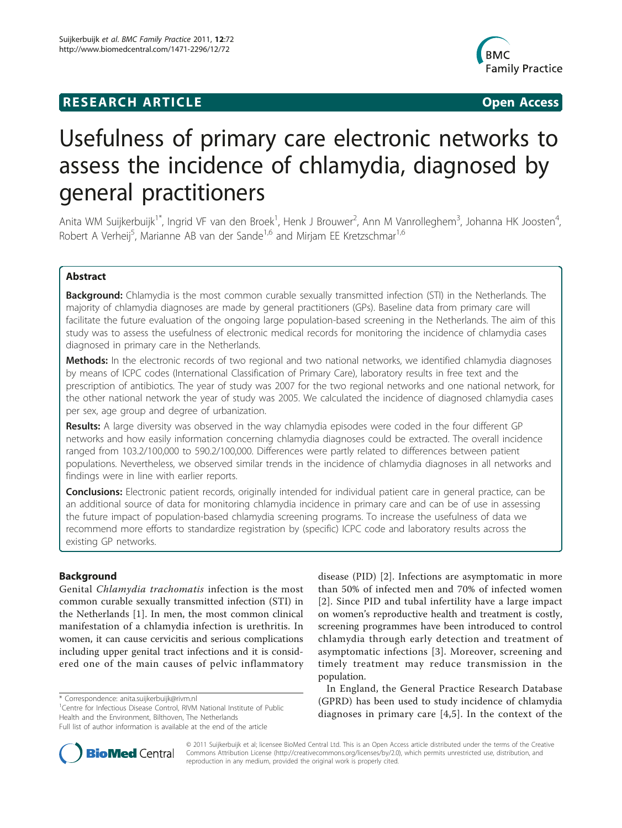# **RESEARCH ARTICLE Example 2018 CONSIDERING ACCESS**



# Usefulness of primary care electronic networks to assess the incidence of chlamydia, diagnosed by general practitioners

Anita WM Suijkerbuijk<sup>1\*</sup>, Ingrid VF van den Broek<sup>1</sup>, Henk J Brouwer<sup>2</sup>, Ann M Vanrolleghem<sup>3</sup>, Johanna HK Joosten<sup>4</sup> , Robert A Verheij<sup>5</sup>, Marianne AB van der Sande<sup>1,6</sup> and Mirjam EE Kretzschmar<sup>1,6</sup>

# Abstract

**Background:** Chlamydia is the most common curable sexually transmitted infection (STI) in the Netherlands. The majority of chlamydia diagnoses are made by general practitioners (GPs). Baseline data from primary care will facilitate the future evaluation of the ongoing large population-based screening in the Netherlands. The aim of this study was to assess the usefulness of electronic medical records for monitoring the incidence of chlamydia cases diagnosed in primary care in the Netherlands.

Methods: In the electronic records of two regional and two national networks, we identified chlamydia diagnoses by means of ICPC codes (International Classification of Primary Care), laboratory results in free text and the prescription of antibiotics. The year of study was 2007 for the two regional networks and one national network, for the other national network the year of study was 2005. We calculated the incidence of diagnosed chlamydia cases per sex, age group and degree of urbanization.

Results: A large diversity was observed in the way chlamydia episodes were coded in the four different GP networks and how easily information concerning chlamydia diagnoses could be extracted. The overall incidence ranged from 103.2/100,000 to 590.2/100,000. Differences were partly related to differences between patient populations. Nevertheless, we observed similar trends in the incidence of chlamydia diagnoses in all networks and findings were in line with earlier reports.

**Conclusions:** Electronic patient records, originally intended for individual patient care in general practice, can be an additional source of data for monitoring chlamydia incidence in primary care and can be of use in assessing the future impact of population-based chlamydia screening programs. To increase the usefulness of data we recommend more efforts to standardize registration by (specific) ICPC code and laboratory results across the existing GP networks.

# Background

Genital Chlamydia trachomatis infection is the most common curable sexually transmitted infection (STI) in the Netherlands [[1](#page-6-0)]. In men, the most common clinical manifestation of a chlamydia infection is urethritis. In women, it can cause cervicitis and serious complications including upper genital tract infections and it is considered one of the main causes of pelvic inflammatory

\* Correspondence: [anita.suijkerbuijk@rivm.nl](mailto:anita.suijkerbuijk@rivm.nl)

<sup>1</sup> Centre for Infectious Disease Control, RIVM National Institute of Public Health and the Environment, Bilthoven, The Netherlands Full list of author information is available at the end of the article

disease (PID) [\[2](#page-6-0)]. Infections are asymptomatic in more than 50% of infected men and 70% of infected women [[2](#page-6-0)]. Since PID and tubal infertility have a large impact on women's reproductive health and treatment is costly, screening programmes have been introduced to control chlamydia through early detection and treatment of asymptomatic infections [[3\]](#page-6-0). Moreover, screening and timely treatment may reduce transmission in the population.

In England, the General Practice Research Database (GPRD) has been used to study incidence of chlamydia diagnoses in primary care [[4,5\]](#page-7-0). In the context of the



© 2011 Suijkerbuijk et al; licensee BioMed Central Ltd. This is an Open Access article distributed under the terms of the Creative Commons Attribution License [\(http://creativecommons.org/licenses/by/2.0](http://creativecommons.org/licenses/by/2.0)), which permits unrestricted use, distribution, and reproduction in any medium, provided the original work is properly cited.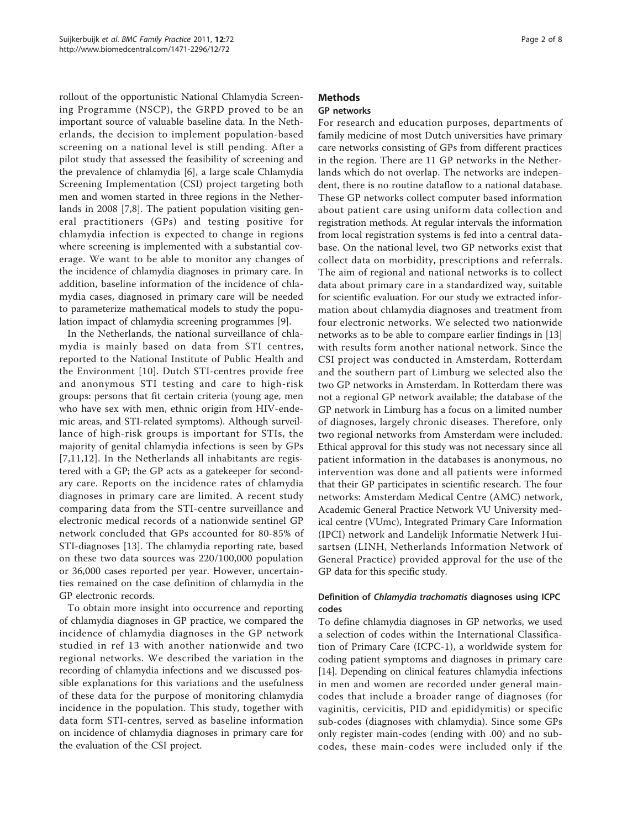rollout of the opportunistic National Chlamydia Screening Programme (NSCP), the GRPD proved to be an important source of valuable baseline data. In the Netherlands, the decision to implement population-based screening on a national level is still pending. After a pilot study that assessed the feasibility of screening and the prevalence of chlamydia [\[6](#page-7-0)], a large scale Chlamydia Screening Implementation (CSI) project targeting both men and women started in three regions in the Netherlands in 2008 [\[7,8](#page-7-0)]. The patient population visiting general practitioners (GPs) and testing positive for chlamydia infection is expected to change in regions where screening is implemented with a substantial coverage. We want to be able to monitor any changes of the incidence of chlamydia diagnoses in primary care. In addition, baseline information of the incidence of chlamydia cases, diagnosed in primary care will be needed to parameterize mathematical models to study the population impact of chlamydia screening programmes [[9\]](#page-7-0).

In the Netherlands, the national surveillance of chlamydia is mainly based on data from STI centres, reported to the National Institute of Public Health and the Environment [[10](#page-7-0)]. Dutch STI-centres provide free and anonymous STI testing and care to high-risk groups: persons that fit certain criteria (young age, men who have sex with men, ethnic origin from HIV-endemic areas, and STI-related symptoms). Although surveillance of high-risk groups is important for STIs, the majority of genital chlamydia infections is seen by GPs [[7](#page-7-0),[11,12](#page-7-0)]. In the Netherlands all inhabitants are registered with a GP; the GP acts as a gatekeeper for secondary care. Reports on the incidence rates of chlamydia diagnoses in primary care are limited. A recent study comparing data from the STI-centre surveillance and electronic medical records of a nationwide sentinel GP network concluded that GPs accounted for 80-85% of STI-diagnoses [\[13](#page-7-0)]. The chlamydia reporting rate, based on these two data sources was 220/100,000 population or 36,000 cases reported per year. However, uncertainties remained on the case definition of chlamydia in the GP electronic records.

To obtain more insight into occurrence and reporting of chlamydia diagnoses in GP practice, we compared the incidence of chlamydia diagnoses in the GP network studied in ref 13 with another nationwide and two regional networks. We described the variation in the recording of chlamydia infections and we discussed possible explanations for this variations and the usefulness of these data for the purpose of monitoring chlamydia incidence in the population. This study, together with data form STI-centres, served as baseline information on incidence of chlamydia diagnoses in primary care for the evaluation of the CSI project.

# Methods

# GP networks

For research and education purposes, departments of family medicine of most Dutch universities have primary care networks consisting of GPs from different practices in the region. There are 11 GP networks in the Netherlands which do not overlap. The networks are independent, there is no routine dataflow to a national database. These GP networks collect computer based information about patient care using uniform data collection and registration methods. At regular intervals the information from local registration systems is fed into a central database. On the national level, two GP networks exist that collect data on morbidity, prescriptions and referrals. The aim of regional and national networks is to collect data about primary care in a standardized way, suitable for scientific evaluation. For our study we extracted information about chlamydia diagnoses and treatment from four electronic networks. We selected two nationwide networks as to be able to compare earlier findings in [[13](#page-7-0)] with results form another national network. Since the CSI project was conducted in Amsterdam, Rotterdam and the southern part of Limburg we selected also the two GP networks in Amsterdam. In Rotterdam there was not a regional GP network available; the database of the GP network in Limburg has a focus on a limited number of diagnoses, largely chronic diseases. Therefore, only two regional networks from Amsterdam were included. Ethical approval for this study was not necessary since all patient information in the databases is anonymous, no intervention was done and all patients were informed that their GP participates in scientific research. The four networks: Amsterdam Medical Centre (AMC) network, Academic General Practice Network VU University medical centre (VUmc), Integrated Primary Care Information (IPCI) network and Landelijk Informatie Netwerk Huisartsen (LINH, Netherlands Information Network of General Practice) provided approval for the use of the GP data for this specific study.

### Definition of Chlamydia trachomatis diagnoses using ICPC codes

To define chlamydia diagnoses in GP networks, we used a selection of codes within the International Classification of Primary Care (ICPC-1), a worldwide system for coding patient symptoms and diagnoses in primary care [[14\]](#page-7-0). Depending on clinical features chlamydia infections in men and women are recorded under general maincodes that include a broader range of diagnoses (for vaginitis, cervicitis, PID and epididymitis) or specific sub-codes (diagnoses with chlamydia). Since some GPs only register main-codes (ending with .00) and no subcodes, these main-codes were included only if the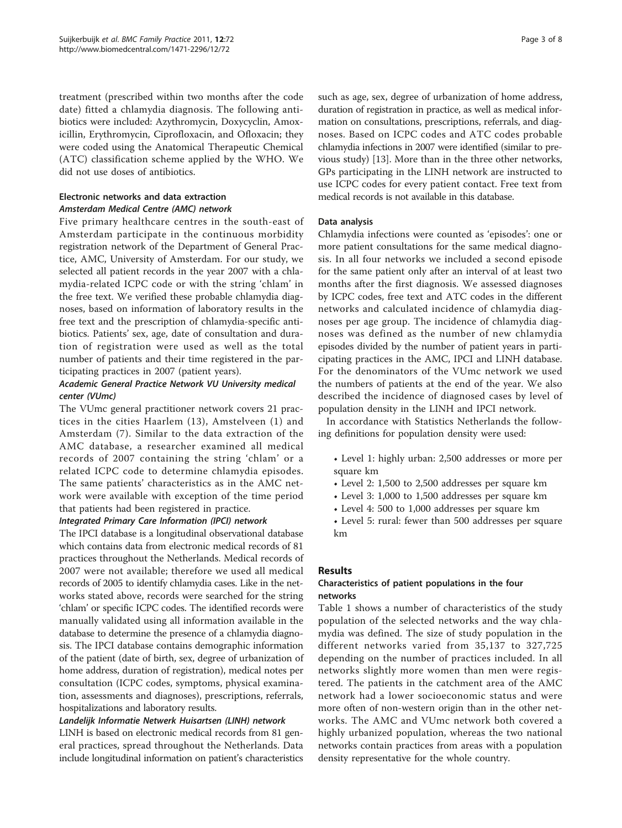treatment (prescribed within two months after the code date) fitted a chlamydia diagnosis. The following antibiotics were included: Azythromycin, Doxycyclin, Amoxicillin, Erythromycin, Ciprofloxacin, and Ofloxacin; they were coded using the Anatomical Therapeutic Chemical (ATC) classification scheme applied by the WHO. We did not use doses of antibiotics.

## Electronic networks and data extraction Amsterdam Medical Centre (AMC) network

Five primary healthcare centres in the south-east of Amsterdam participate in the continuous morbidity registration network of the Department of General Practice, AMC, University of Amsterdam. For our study, we selected all patient records in the year 2007 with a chlamydia-related ICPC code or with the string 'chlam' in the free text. We verified these probable chlamydia diagnoses, based on information of laboratory results in the free text and the prescription of chlamydia-specific antibiotics. Patients' sex, age, date of consultation and duration of registration were used as well as the total number of patients and their time registered in the participating practices in 2007 (patient years).

## Academic General Practice Network VU University medical center (VUmc)

The VUmc general practitioner network covers 21 practices in the cities Haarlem (13), Amstelveen (1) and Amsterdam (7). Similar to the data extraction of the AMC database, a researcher examined all medical records of 2007 containing the string 'chlam' or a related ICPC code to determine chlamydia episodes. The same patients' characteristics as in the AMC network were available with exception of the time period that patients had been registered in practice.

#### Integrated Primary Care Information (IPCI) network

The IPCI database is a longitudinal observational database which contains data from electronic medical records of 81 practices throughout the Netherlands. Medical records of 2007 were not available; therefore we used all medical records of 2005 to identify chlamydia cases. Like in the networks stated above, records were searched for the string 'chlam' or specific ICPC codes. The identified records were manually validated using all information available in the database to determine the presence of a chlamydia diagnosis. The IPCI database contains demographic information of the patient (date of birth, sex, degree of urbanization of home address, duration of registration), medical notes per consultation (ICPC codes, symptoms, physical examination, assessments and diagnoses), prescriptions, referrals, hospitalizations and laboratory results.

#### Landelijk Informatie Netwerk Huisartsen (LINH) network

LINH is based on electronic medical records from 81 general practices, spread throughout the Netherlands. Data include longitudinal information on patient's characteristics such as age, sex, degree of urbanization of home address, duration of registration in practice, as well as medical information on consultations, prescriptions, referrals, and diagnoses. Based on ICPC codes and ATC codes probable chlamydia infections in 2007 were identified (similar to previous study) [[13\]](#page-7-0). More than in the three other networks, GPs participating in the LINH network are instructed to use ICPC codes for every patient contact. Free text from medical records is not available in this database.

#### Data analysis

Chlamydia infections were counted as 'episodes': one or more patient consultations for the same medical diagnosis. In all four networks we included a second episode for the same patient only after an interval of at least two months after the first diagnosis. We assessed diagnoses by ICPC codes, free text and ATC codes in the different networks and calculated incidence of chlamydia diagnoses per age group. The incidence of chlamydia diagnoses was defined as the number of new chlamydia episodes divided by the number of patient years in participating practices in the AMC, IPCI and LINH database. For the denominators of the VUmc network we used the numbers of patients at the end of the year. We also described the incidence of diagnosed cases by level of population density in the LINH and IPCI network.

In accordance with Statistics Netherlands the following definitions for population density were used:

- Level 1: highly urban: 2,500 addresses or more per square km
- Level 2: 1,500 to 2,500 addresses per square km
- Level 3: 1,000 to 1,500 addresses per square km
- Level 4: 500 to 1,000 addresses per square km

• Level 5: rural: fewer than 500 addresses per square km

# Results

#### Characteristics of patient populations in the four networks

Table [1](#page-3-0) shows a number of characteristics of the study population of the selected networks and the way chlamydia was defined. The size of study population in the different networks varied from 35,137 to 327,725 depending on the number of practices included. In all networks slightly more women than men were registered. The patients in the catchment area of the AMC network had a lower socioeconomic status and were more often of non-western origin than in the other networks. The AMC and VUmc network both covered a highly urbanized population, whereas the two national networks contain practices from areas with a population density representative for the whole country.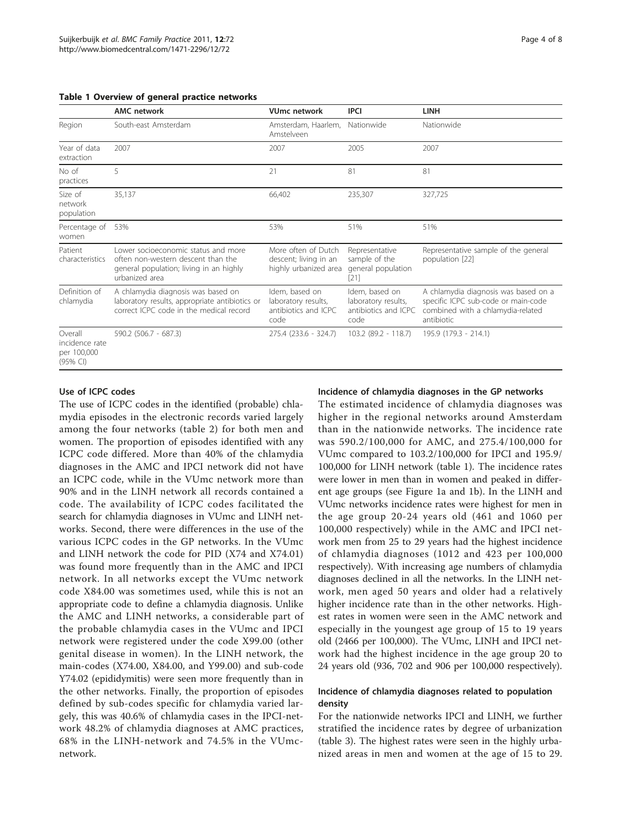|                                                      | wie i oferfleu of geheidt praetiee hetworks                                                                                            |                                                                       |                                                                       |                                                                                                                                |
|------------------------------------------------------|----------------------------------------------------------------------------------------------------------------------------------------|-----------------------------------------------------------------------|-----------------------------------------------------------------------|--------------------------------------------------------------------------------------------------------------------------------|
|                                                      | <b>AMC</b> network                                                                                                                     | <b>VUmc network</b>                                                   | <b>IPCI</b>                                                           | <b>LINH</b>                                                                                                                    |
| Region                                               | South-east Amsterdam                                                                                                                   | Amsterdam, Haarlem,<br>Amstelveen                                     | Nationwide                                                            | Nationwide                                                                                                                     |
| Year of data<br>extraction                           | 2007                                                                                                                                   | 2007                                                                  | 2005                                                                  | 2007                                                                                                                           |
| No of<br>practices                                   | 5                                                                                                                                      | 21                                                                    | 81                                                                    | 81                                                                                                                             |
| Size of<br>network<br>population                     | 35,137                                                                                                                                 | 66,402                                                                | 235,307                                                               | 327,725                                                                                                                        |
| Percentage of<br>women                               | 53%                                                                                                                                    | 53%                                                                   | 51%                                                                   | 51%                                                                                                                            |
| Patient<br>characteristics                           | Lower socioeconomic status and more<br>often non-western descent than the<br>general population; living in an highly<br>urbanized area | More often of Dutch<br>descent; living in an<br>highly urbanized area | Representative<br>sample of the<br>general population<br>$[21]$       | Representative sample of the general<br>population [22]                                                                        |
| Definition of<br>chlamydia                           | A chlamydia diagnosis was based on<br>laboratory results, appropriate antibiotics or<br>correct ICPC code in the medical record        | Idem, based on<br>laboratory results,<br>antibiotics and ICPC<br>code | Idem, based on<br>laboratory results,<br>antibiotics and ICPC<br>code | A chlamydia diagnosis was based on a<br>specific ICPC sub-code or main-code<br>combined with a chlamydia-related<br>antibiotic |
| Overall<br>incidence rate<br>per 100,000<br>(95% CI) | 590.2 (506.7 - 687.3)                                                                                                                  | 275.4 (233.6 - 324.7)                                                 | 103.2 (89.2 - 118.7)                                                  | 195.9 (179.3 - 214.1)                                                                                                          |

#### <span id="page-3-0"></span>Table 1 Overview of general practice networks

#### Use of ICPC codes

The use of ICPC codes in the identified (probable) chlamydia episodes in the electronic records varied largely among the four networks (table [2\)](#page-4-0) for both men and women. The proportion of episodes identified with any ICPC code differed. More than 40% of the chlamydia diagnoses in the AMC and IPCI network did not have an ICPC code, while in the VUmc network more than 90% and in the LINH network all records contained a code. The availability of ICPC codes facilitated the search for chlamydia diagnoses in VUmc and LINH networks. Second, there were differences in the use of the various ICPC codes in the GP networks. In the VUmc and LINH network the code for PID (X74 and X74.01) was found more frequently than in the AMC and IPCI network. In all networks except the VUmc network code X84.00 was sometimes used, while this is not an appropriate code to define a chlamydia diagnosis. Unlike the AMC and LINH networks, a considerable part of the probable chlamydia cases in the VUmc and IPCI network were registered under the code X99.00 (other genital disease in women). In the LINH network, the main-codes (X74.00, X84.00, and Y99.00) and sub-code Y74.02 (epididymitis) were seen more frequently than in the other networks. Finally, the proportion of episodes defined by sub-codes specific for chlamydia varied largely, this was 40.6% of chlamydia cases in the IPCI-network 48.2% of chlamydia diagnoses at AMC practices, 68% in the LINH-network and 74.5% in the VUmcnetwork.

#### Incidence of chlamydia diagnoses in the GP networks

The estimated incidence of chlamydia diagnoses was higher in the regional networks around Amsterdam than in the nationwide networks. The incidence rate was 590.2/100,000 for AMC, and 275.4/100,000 for VUmc compared to 103.2/100,000 for IPCI and 195.9/ 100,000 for LINH network (table 1). The incidence rates were lower in men than in women and peaked in different age groups (see Figure [1a](#page-5-0) and [1b](#page-5-0)). In the LINH and VUmc networks incidence rates were highest for men in the age group 20-24 years old (461 and 1060 per 100,000 respectively) while in the AMC and IPCI network men from 25 to 29 years had the highest incidence of chlamydia diagnoses (1012 and 423 per 100,000 respectively). With increasing age numbers of chlamydia diagnoses declined in all the networks. In the LINH network, men aged 50 years and older had a relatively higher incidence rate than in the other networks. Highest rates in women were seen in the AMC network and especially in the youngest age group of 15 to 19 years old (2466 per 100,000). The VUmc, LINH and IPCI network had the highest incidence in the age group 20 to 24 years old (936, 702 and 906 per 100,000 respectively).

#### Incidence of chlamydia diagnoses related to population density

For the nationwide networks IPCI and LINH, we further stratified the incidence rates by degree of urbanization (table [3](#page-5-0)). The highest rates were seen in the highly urbanized areas in men and women at the age of 15 to 29.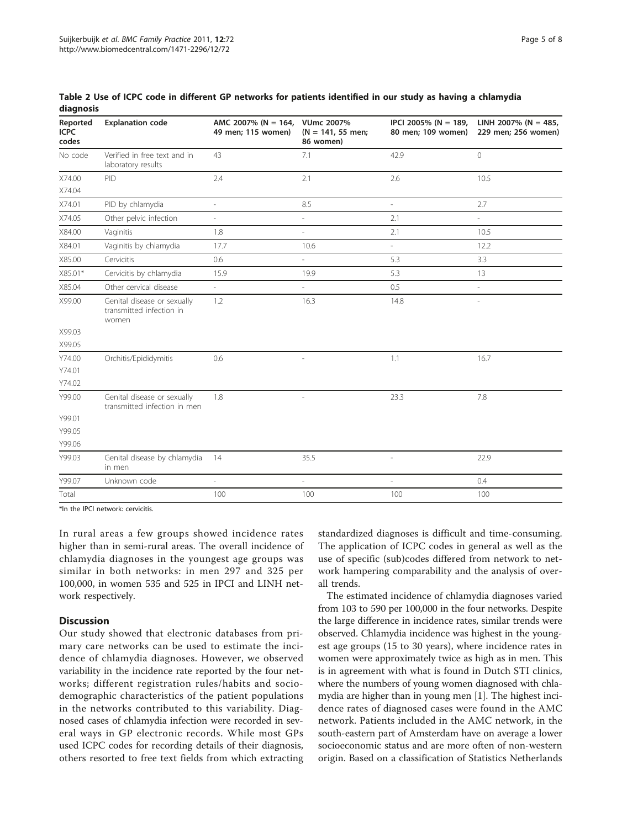| diagnosis                        |                                                    |                                                                          |           |      |                                                                                     |  |  |
|----------------------------------|----------------------------------------------------|--------------------------------------------------------------------------|-----------|------|-------------------------------------------------------------------------------------|--|--|
| Reported<br><b>ICPC</b><br>codes | <b>Explanation code</b>                            | AMC 2007% (N = 164, VUmc 2007%<br>49 men: 115 women) $(N = 141, 55$ men: | 86 women) |      | IPCI 2005% (N = 189, LINH 2007% (N = 485,<br>80 men; 109 women) 229 men; 256 women) |  |  |
| No code                          | Verified in free text and in<br>laboratory results | 43                                                                       |           | 42.9 |                                                                                     |  |  |
| X74.00                           | <b>PID</b>                                         | 24                                                                       |           | 2.6  | 10.5                                                                                |  |  |
| X7404                            |                                                    |                                                                          |           |      |                                                                                     |  |  |

<span id="page-4-0"></span>Table 2 Use of ICPC code in different GP networks for patients identified in our study as having a chlamydia

 $X74.01$  PID by chlamydia  $-$  8.5  $-$  2.7

X84.00 Vaginitis 1.8 - 2.1 10.5 X84.01 Vaginitis by chlamydia 17.7 10.6 - 12.2 X85.00 Cervicitis 0.6 0.6 - 5.3 5.3 3.3 X85.01<sup>\*</sup> Cervicitis by chlamydia 15.9 19.9 19.9 5.3 13

X74.05 Other pelvic infection **-** - 2.1

X85.04 Other cervical disease - - 0.5 - 0.5 - 0.5 - 0.5 - 0.5 - 0.5 - 0.5 - 0.5 - 0.5 - 0.5 - 0.5 - 0.5 - 0.5 - 0.5 - 0.5 - 0.5 - 0.5 - 0.5 - 0.5 - 0.5 - 0.5 - 0.5 - 0.5 - 0.5 - 0.5 - 0.5 - 0.5 - 0.5 - 0.5 - 0.5 - 0.5 - 0.

|        | transmitted infection in<br>women                           |                          |                          |                          |      |  |  |
|--------|-------------------------------------------------------------|--------------------------|--------------------------|--------------------------|------|--|--|
| X99.03 |                                                             |                          |                          |                          |      |  |  |
| X99.05 |                                                             |                          |                          |                          |      |  |  |
| Y74.00 | Orchitis/Epididymitis                                       | 0.6                      | $\overline{\phantom{a}}$ | 1.1                      | 16.7 |  |  |
| Y74.01 |                                                             |                          |                          |                          |      |  |  |
| Y74.02 |                                                             |                          |                          |                          |      |  |  |
| Y99.00 | Genital disease or sexually<br>transmitted infection in men | 1.8                      | $\sim$                   | 23.3                     | 7.8  |  |  |
| Y99.01 |                                                             |                          |                          |                          |      |  |  |
| Y99.05 |                                                             |                          |                          |                          |      |  |  |
| Y99.06 |                                                             |                          |                          |                          |      |  |  |
| Y99.03 | Genital disease by chlamydia<br>in men                      | 14                       | 35.5                     | $\overline{\phantom{a}}$ | 22.9 |  |  |
| Y99.07 | Unknown code                                                | $\overline{\phantom{a}}$ | $\sim$                   | $\sim$                   | 0.4  |  |  |
| Total  |                                                             | 100                      | 100                      | 100                      | 100  |  |  |

1.2 16.3 14.8 - 14.8

\*In the IPCI network: cervicitis.

X99.00 Genital disease or sexually

In rural areas a few groups showed incidence rates higher than in semi-rural areas. The overall incidence of chlamydia diagnoses in the youngest age groups was similar in both networks: in men 297 and 325 per 100,000, in women 535 and 525 in IPCI and LINH network respectively.

#### **Discussion**

Our study showed that electronic databases from primary care networks can be used to estimate the incidence of chlamydia diagnoses. However, we observed variability in the incidence rate reported by the four networks; different registration rules/habits and sociodemographic characteristics of the patient populations in the networks contributed to this variability. Diagnosed cases of chlamydia infection were recorded in several ways in GP electronic records. While most GPs used ICPC codes for recording details of their diagnosis, others resorted to free text fields from which extracting

standardized diagnoses is difficult and time-consuming. The application of ICPC codes in general as well as the use of specific (sub)codes differed from network to network hampering comparability and the analysis of overall trends.

The estimated incidence of chlamydia diagnoses varied from 103 to 590 per 100,000 in the four networks. Despite the large difference in incidence rates, similar trends were observed. Chlamydia incidence was highest in the youngest age groups (15 to 30 years), where incidence rates in women were approximately twice as high as in men. This is in agreement with what is found in Dutch STI clinics, where the numbers of young women diagnosed with chlamydia are higher than in young men [\[1](#page-6-0)]. The highest incidence rates of diagnosed cases were found in the AMC network. Patients included in the AMC network, in the south-eastern part of Amsterdam have on average a lower socioeconomic status and are more often of non-western origin. Based on a classification of Statistics Netherlands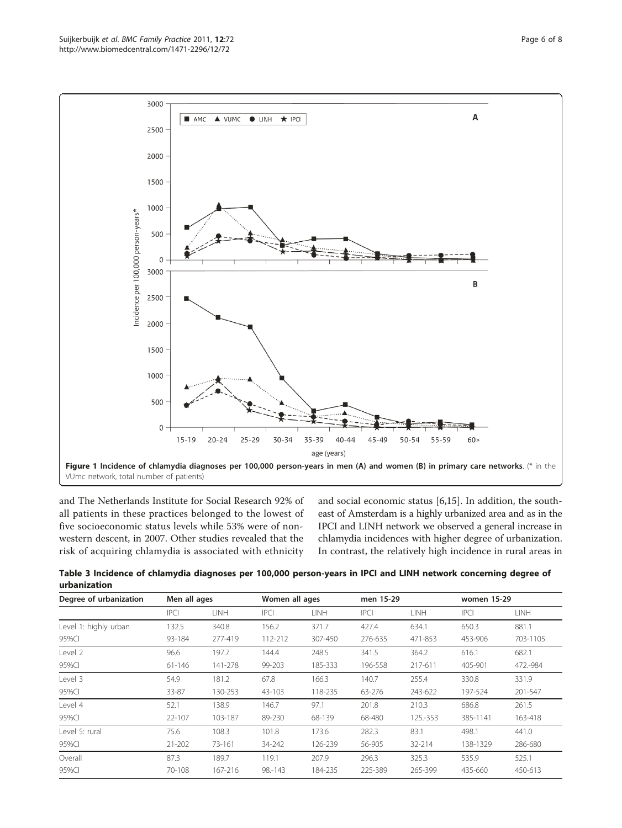<span id="page-5-0"></span>

and The Netherlands Institute for Social Research 92% of all patients in these practices belonged to the lowest of five socioeconomic status levels while 53% were of nonwestern descent, in 2007. Other studies revealed that the risk of acquiring chlamydia is associated with ethnicity

and social economic status [[6,15\]](#page-7-0). In addition, the southeast of Amsterdam is a highly urbanized area and as in the IPCI and LINH network we observed a general increase in chlamydia incidences with higher degree of urbanization. In contrast, the relatively high incidence in rural areas in

| Table 3 Incidence of chlamydia diagnoses per 100,000 person-years in IPCI and LINH network concerning degree of |  |
|-----------------------------------------------------------------------------------------------------------------|--|
| urbanization                                                                                                    |  |

| Degree of urbanization | Men all ages |             | Women all ages |         | men 15-29   |          | women 15-29 |          |
|------------------------|--------------|-------------|----------------|---------|-------------|----------|-------------|----------|
|                        | <b>IPCI</b>  | <b>LINH</b> | <b>IPCI</b>    | LINH    | <b>IPCI</b> | LINH     | <b>IPCI</b> | LINH     |
| Level 1: highly urban  | 132.5        | 340.8       | 156.2          | 371.7   | 427.4       | 634.1    | 650.3       | 881.1    |
| 95%CI                  | 93-184       | 277-419     | 112-212        | 307-450 | 276-635     | 471-853  | 453-906     | 703-1105 |
| Level 2                | 96.6         | 197.7       | 144.4          | 248.5   | 341.5       | 364.2    | 616.1       | 682.1    |
| 95%CI                  | $61 - 146$   | 141-278     | 99-203         | 185-333 | 196-558     | 217-611  | 405-901     | 472.-984 |
| Level 3                | 54.9         | 181.2       | 67.8           | 166.3   | 140.7       | 255.4    | 330.8       | 331.9    |
| 95%CI                  | 33-87        | 130-253     | 43-103         | 118-235 | 63-276      | 243-622  | 197-524     | 201-547  |
| Level 4                | 52.1         | 138.9       | 146.7          | 97.1    | 201.8       | 210.3    | 686.8       | 261.5    |
| 95%CI                  | 22-107       | 103-187     | 89-230         | 68-139  | 68-480      | 125.-353 | 385-1141    | 163-418  |
| Level 5: rural         | 75.6         | 108.3       | 101.8          | 173.6   | 282.3       | 83.1     | 498.1       | 441.0    |
| 95%CI                  | $21 - 202$   | 73-161      | 34-242         | 126-239 | 56-905      | 32-214   | 138-1329    | 286-680  |
| Overall                | 87.3         | 189.7       | 119.1          | 207.9   | 296.3       | 325.3    | 535.9       | 525.1    |
| 95%CI                  | 70-108       | 167-216     | $98 - 143$     | 184-235 | 225-389     | 265-399  | 435-660     | 450-613  |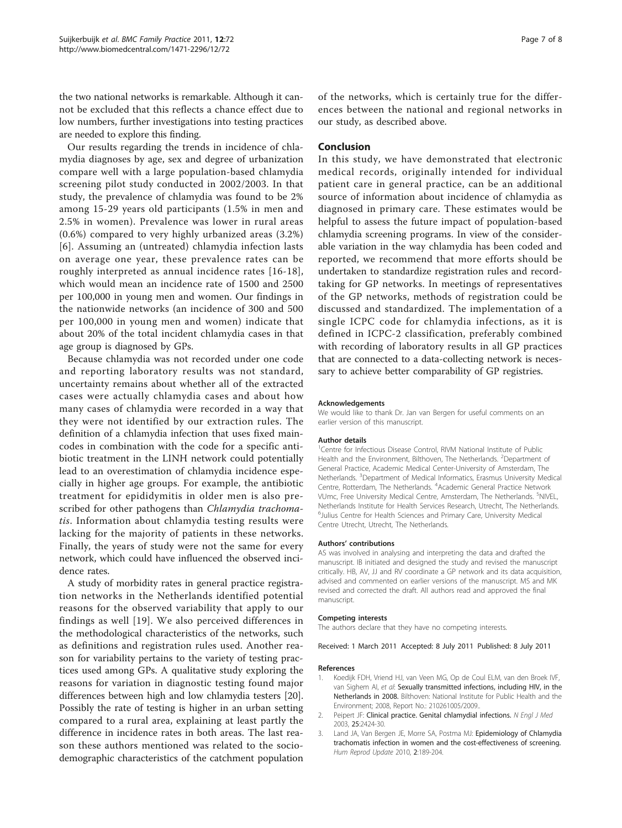<span id="page-6-0"></span>the two national networks is remarkable. Although it cannot be excluded that this reflects a chance effect due to low numbers, further investigations into testing practices are needed to explore this finding.

Our results regarding the trends in incidence of chlamydia diagnoses by age, sex and degree of urbanization compare well with a large population-based chlamydia screening pilot study conducted in 2002/2003. In that study, the prevalence of chlamydia was found to be 2% among 15-29 years old participants (1.5% in men and 2.5% in women). Prevalence was lower in rural areas (0.6%) compared to very highly urbanized areas (3.2%) [[6](#page-7-0)]. Assuming an (untreated) chlamydia infection lasts on average one year, these prevalence rates can be roughly interpreted as annual incidence rates [[16-18](#page-7-0)], which would mean an incidence rate of 1500 and 2500 per 100,000 in young men and women. Our findings in the nationwide networks (an incidence of 300 and 500 per 100,000 in young men and women) indicate that about 20% of the total incident chlamydia cases in that age group is diagnosed by GPs.

Because chlamydia was not recorded under one code and reporting laboratory results was not standard, uncertainty remains about whether all of the extracted cases were actually chlamydia cases and about how many cases of chlamydia were recorded in a way that they were not identified by our extraction rules. The definition of a chlamydia infection that uses fixed maincodes in combination with the code for a specific antibiotic treatment in the LINH network could potentially lead to an overestimation of chlamydia incidence especially in higher age groups. For example, the antibiotic treatment for epididymitis in older men is also prescribed for other pathogens than Chlamydia trachomatis. Information about chlamydia testing results were lacking for the majority of patients in these networks. Finally, the years of study were not the same for every network, which could have influenced the observed incidence rates.

A study of morbidity rates in general practice registration networks in the Netherlands identified potential reasons for the observed variability that apply to our findings as well [[19\]](#page-7-0). We also perceived differences in the methodological characteristics of the networks, such as definitions and registration rules used. Another reason for variability pertains to the variety of testing practices used among GPs. A qualitative study exploring the reasons for variation in diagnostic testing found major differences between high and low chlamydia testers [\[20](#page-7-0)]. Possibly the rate of testing is higher in an urban setting compared to a rural area, explaining at least partly the difference in incidence rates in both areas. The last reason these authors mentioned was related to the sociodemographic characteristics of the catchment population

of the networks, which is certainly true for the differences between the national and regional networks in our study, as described above.

#### Conclusion

In this study, we have demonstrated that electronic medical records, originally intended for individual patient care in general practice, can be an additional source of information about incidence of chlamydia as diagnosed in primary care. These estimates would be helpful to assess the future impact of population-based chlamydia screening programs. In view of the considerable variation in the way chlamydia has been coded and reported, we recommend that more efforts should be undertaken to standardize registration rules and recordtaking for GP networks. In meetings of representatives of the GP networks, methods of registration could be discussed and standardized. The implementation of a single ICPC code for chlamydia infections, as it is defined in ICPC-2 classification, preferably combined with recording of laboratory results in all GP practices that are connected to a data-collecting network is necessary to achieve better comparability of GP registries.

#### Acknowledgements

We would like to thank Dr. Jan van Bergen for useful comments on an earlier version of this manuscript.

#### Author details

<sup>1</sup> Centre for Infectious Disease Control, RIVM National Institute of Public Health and the Environment, Bilthoven, The Netherlands. <sup>2</sup>Department of General Practice, Academic Medical Center-University of Amsterdam, The Netherlands. <sup>3</sup>Department of Medical Informatics, Erasmus University Medical Centre, Rotterdam, The Netherlands. <sup>4</sup> Academic General Practice Network VUmc, Free University Medical Centre, Amsterdam, The Netherlands. <sup>5</sup>NIVEL, Netherlands Institute for Health Services Research, Utrecht, The Netherlands. <sup>6</sup>Julius Centre for Health Sciences and Primary Care, University Medical Centre Utrecht, Utrecht, The Netherlands.

#### Authors' contributions

AS was involved in analysing and interpreting the data and drafted the manuscript. IB initiated and designed the study and revised the manuscript critically. HB, AV, JJ and RV coordinate a GP network and its data acquisition, advised and commented on earlier versions of the manuscript. MS and MK revised and corrected the draft. All authors read and approved the final manuscript.

#### Competing interests

The authors declare that they have no competing interests.

Received: 1 March 2011 Accepted: 8 July 2011 Published: 8 July 2011

#### References

- 1. Koedijk FDH, Vriend HJ, van Veen MG, Op de Coul ELM, van den Broek IVF, van Sighem AI, et al: Sexually transmitted infections, including HIV, in the Netherlands in 2008. Bilthoven: National Institute for Public Health and the Environment; 2008, Report No.: 210261005/2009..
- 2. Peipert JF: Clinical practice. Genital chlamydial infections. N Engl J Med 2003, 25:2424-30.
- 3. Land JA, Van Bergen JE, Morre SA, Postma MJ: Epidemiology of Chlamydia trachomatis infection in women and the cost-effectiveness of screening. Hum Reprod Update 2010, 2:189-204.